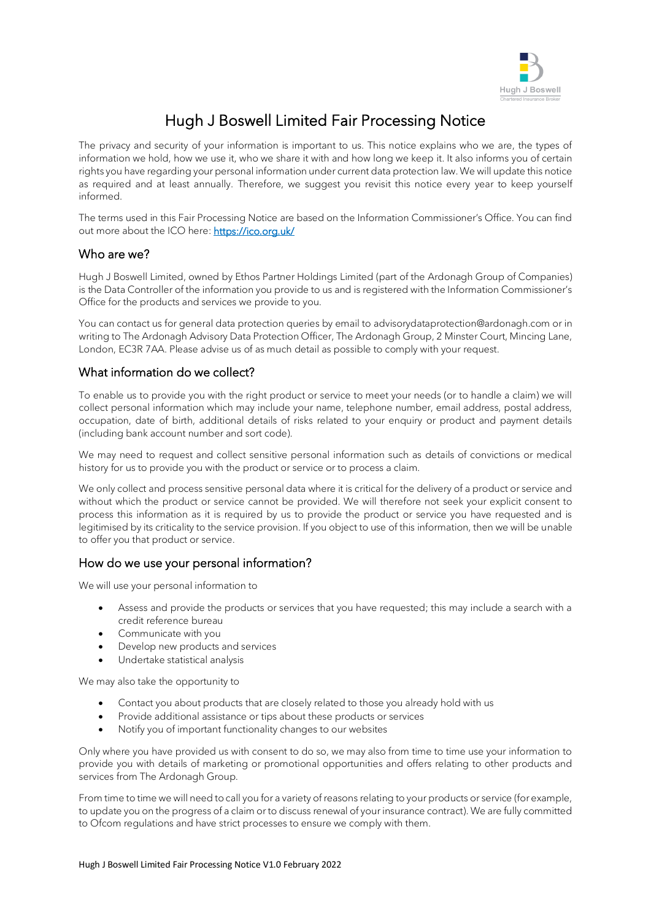

# Hugh J Boswell Limited Fair Processing Notice

The privacy and security of your information is important to us. This notice explains who we are, the types of information we hold, how we use it, who we share it with and how long we keep it. It also informs you of certain rights you have regarding your personal information under current data protection law. We will update this notice as required and at least annually. Therefore, we suggest you revisit this notice every year to keep yourself informed.

The terms used in this Fair Processing Notice are based on the Information Commissioner's Office. You can find out more about the ICO here: https://ico.org.uk/

#### Who are we?

Hugh J Boswell Limited, owned by Ethos Partner Holdings Limited (part of the Ardonagh Group of Companies) is the Data Controller of the information you provide to us and is registered with the Information Commissioner's Office for the products and services we provide to you.

You can contact us for general data protection queries by email t[o advisorydataprotection@ardonagh.com](mailto:advisorydataprotection@ardonagh.com) or in writing to The Ardonagh Advisory Data Protection Officer, The Ardonagh Group, 2 Minster Court, Mincing Lane, London, EC3R 7AA. Please advise us of as much detail as possible to comply with your request.

#### What information do we collect?

To enable us to provide you with the right product or service to meet your needs (or to handle a claim) we will collect personal information which may include your name, telephone number, email address, postal address, occupation, date of birth, additional details of risks related to your enquiry or product and payment details (including bank account number and sort code).

We may need to request and collect sensitive personal information such as details of convictions or medical history for us to provide you with the product or service or to process a claim.

We only collect and process sensitive personal data where it is critical for the delivery of a product or service and without which the product or service cannot be provided. We will therefore not seek your explicit consent to process this information as it is required by us to provide the product or service you have requested and is legitimised by its criticality to the service provision. If you object to use of this information, then we will be unable to offer you that product or service.

#### How do we use your personal information?

We will use your personal information to

- Assess and provide the products or services that you have requested; this may include a search with a credit reference bureau
- Communicate with you
- Develop new products and services
- Undertake statistical analysis

We may also take the opportunity to

- Contact you about products that are closely related to those you already hold with us
- Provide additional assistance or tips about these products or services
- Notify you of important functionality changes to our websites

Only where you have provided us with consent to do so, we may also from time to time use your information to provide you with details of marketing or promotional opportunities and offers relating to other products and services from The Ardonagh Group.

From time to time we will need to call you for a variety of reasons relating to your products or service (for example, to update you on the progress of a claim or to discuss renewal of your insurance contract). We are fully committed to Ofcom regulations and have strict processes to ensure we comply with them.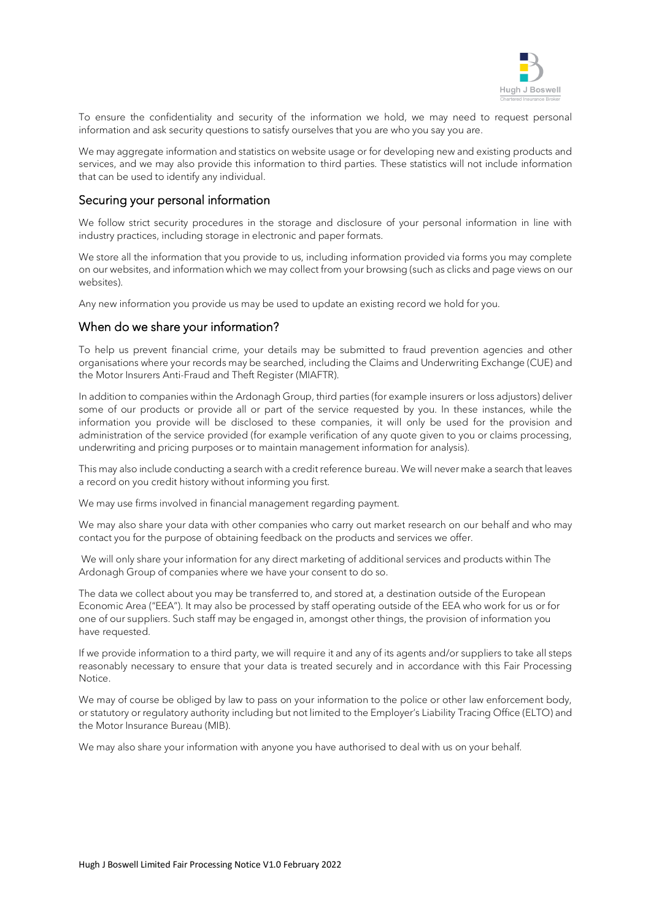

To ensure the confidentiality and security of the information we hold, we may need to request personal information and ask security questions to satisfy ourselves that you are who you say you are.

We may aggregate information and statistics on website usage or for developing new and existing products and services, and we may also provide this information to third parties. These statistics will not include information that can be used to identify any individual.

#### Securing your personal information

We follow strict security procedures in the storage and disclosure of your personal information in line with industry practices, including storage in electronic and paper formats.

We store all the information that you provide to us, including information provided via forms you may complete on our websites, and information which we may collect from your browsing (such as clicks and page views on our websites).

Any new information you provide us may be used to update an existing record we hold for you.

#### When do we share your information?

To help us prevent financial crime, your details may be submitted to fraud prevention agencies and other organisations where your records may be searched, including the Claims and Underwriting Exchange (CUE) and the Motor Insurers Anti-Fraud and Theft Register (MIAFTR).

In addition to companies within the Ardonagh Group, third parties (for example insurers or loss adjustors) deliver some of our products or provide all or part of the service requested by you. In these instances, while the information you provide will be disclosed to these companies, it will only be used for the provision and administration of the service provided (for example verification of any quote given to you or claims processing, underwriting and pricing purposes or to maintain management information for analysis).

This may also include conducting a search with a credit reference bureau. We will never make a search that leaves a record on you credit history without informing you first.

We may use firms involved in financial management regarding payment.

We may also share your data with other companies who carry out market research on our behalf and who may contact you for the purpose of obtaining feedback on the products and services we offer.

We will only share your information for any direct marketing of additional services and products within The Ardonagh Group of companies where we have your consent to do so.

The data we collect about you may be transferred to, and stored at, a destination outside of the European Economic Area ("EEA"). It may also be processed by staff operating outside of the EEA who work for us or for one of our suppliers. Such staff may be engaged in, amongst other things, the provision of information you have requested.

If we provide information to a third party, we will require it and any of its agents and/or suppliers to take all steps reasonably necessary to ensure that your data is treated securely and in accordance with this Fair Processing Notice.

We may of course be obliged by law to pass on your information to the police or other law enforcement body, or statutory or regulatory authority including but not limited to the Employer's Liability Tracing Office (ELTO) and the Motor Insurance Bureau (MIB).

We may also share your information with anyone you have authorised to deal with us on your behalf.